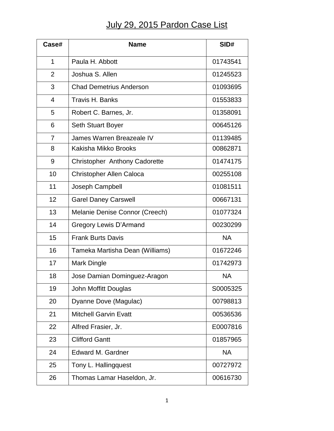## July 29, 2015 Pardon Case List

| Case#          | <b>Name</b>                          | SID#      |
|----------------|--------------------------------------|-----------|
| 1              | Paula H. Abbott                      | 01743541  |
| $\overline{2}$ | Joshua S. Allen                      | 01245523  |
| 3              | <b>Chad Demetrius Anderson</b>       | 01093695  |
| 4              | Travis H. Banks                      | 01553833  |
| 5              | Robert C. Barnes, Jr.                | 01358091  |
| 6              | <b>Seth Stuart Boyer</b>             | 00645126  |
| 7              | James Warren Breazeale IV            | 01139485  |
| 8              | Kakisha Mikko Brooks                 | 00862871  |
| 9              | <b>Christopher Anthony Cadorette</b> | 01474175  |
| 10             | <b>Christopher Allen Caloca</b>      | 00255108  |
| 11             | Joseph Campbell                      | 01081511  |
| 12             | <b>Garel Daney Carswell</b>          | 00667131  |
| 13             | Melanie Denise Connor (Creech)       | 01077324  |
| 14             | Gregory Lewis D'Armand               | 00230299  |
| 15             | <b>Frank Burts Davis</b>             | <b>NA</b> |
| 16             | Tameka Martisha Dean (Williams)      | 01672246  |
| 17             | <b>Mark Dingle</b>                   | 01742973  |
| 18             | Jose Damian Dominguez-Aragon         | <b>NA</b> |
| 19             | John Moffitt Douglas                 | S0005325  |
| 20             | Dyanne Dove (Magulac)                | 00798813  |
| 21             | <b>Mitchell Garvin Evatt</b>         | 00536536  |
| 22             | Alfred Frasier, Jr.                  | E0007816  |
| 23             | <b>Clifford Gantt</b>                | 01857965  |
| 24             | <b>Edward M. Gardner</b>             | <b>NA</b> |
| 25             | Tony L. Hallingquest                 | 00727972  |
| 26             | Thomas Lamar Haseldon, Jr.           | 00616730  |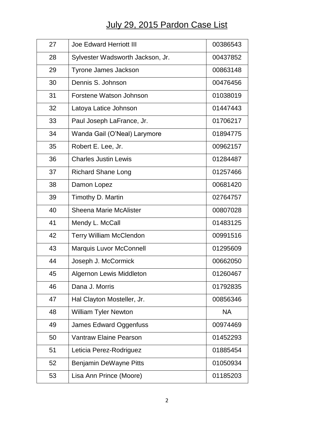## July 29, 2015 Pardon Case List

| 27 | <b>Joe Edward Herriott III</b>   | 00386543  |
|----|----------------------------------|-----------|
| 28 | Sylvester Wadsworth Jackson, Jr. | 00437852  |
| 29 | Tyrone James Jackson             | 00863148  |
| 30 | Dennis S. Johnson                | 00476456  |
| 31 | Forstene Watson Johnson          | 01038019  |
| 32 | Latoya Latice Johnson            | 01447443  |
| 33 | Paul Joseph LaFrance, Jr.        | 01706217  |
| 34 | Wanda Gail (O'Neal) Larymore     | 01894775  |
| 35 | Robert E. Lee, Jr.               | 00962157  |
| 36 | <b>Charles Justin Lewis</b>      | 01284487  |
| 37 | <b>Richard Shane Long</b>        | 01257466  |
| 38 | Damon Lopez                      | 00681420  |
| 39 | Timothy D. Martin                | 02764757  |
| 40 | <b>Sheena Marie McAlister</b>    | 00807028  |
| 41 | Mendy L. McCall                  | 01483125  |
| 42 | <b>Terry William McClendon</b>   | 00991516  |
| 43 | Marquis Luvor McConnell          | 01295609  |
| 44 | Joseph J. McCormick              | 00662050  |
| 45 | <b>Algernon Lewis Middleton</b>  | 01260467  |
| 46 | Dana J. Morris                   | 01792835  |
| 47 | Hal Clayton Mosteller, Jr.       | 00856346  |
| 48 | <b>William Tyler Newton</b>      | <b>NA</b> |
| 49 | James Edward Oggenfuss           | 00974469  |
| 50 | <b>Vantraw Elaine Pearson</b>    | 01452293  |
| 51 | Leticia Perez-Rodriguez          | 01885454  |
| 52 | Benjamin DeWayne Pitts           | 01050934  |
| 53 | Lisa Ann Prince (Moore)          | 01185203  |